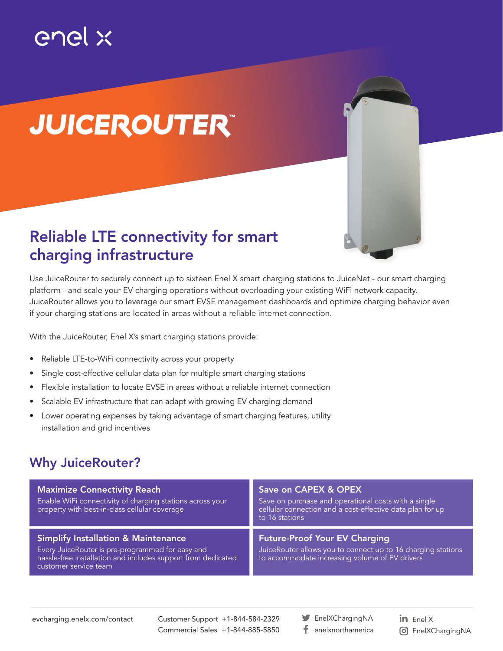## enel x

# *JUICEROUTER™*

### Reliable LTE connectivity for smart charging infrastructure

Use JuiceRouter to securely connect up to sixteen Enel X smart charging stations to JuiceNet - our smart charging platform - and scale your EV charging operations without overloading your existing WiFi network capacity. JuiceRouter allows you to leverage our smart EVSE management dashboards and optimize charging behavior even if your charging stations are located in areas without a reliable internet connection.

With the JuiceRouter, Enel X's smart charging stations provide:

- Reliable LTE-to-WiFi connectivity across your property
- Single cost-effective cellular data plan for multiple smart charging stations
- Flexible installation to locate EVSE in areas without a reliable internet connection
- Scalable EV infrastructure that can adapt with growing EV charging demand
- Lower operating expenses by taking advantage of smart charging features, utility installation and grid incentives

#### Why JuiceRouter?

| <b>Maximize Connectivity Reach</b><br>Enable WiFi connectivity of charging stations across your<br>property with best-in-class cellular coverage                                            | Save on CAPEX & OPEX<br>Save on purchase and operational costs with a single<br>cellular connection and a cost-effective data plan for up<br>to 16 stations |
|---------------------------------------------------------------------------------------------------------------------------------------------------------------------------------------------|-------------------------------------------------------------------------------------------------------------------------------------------------------------|
| <b>Simplify Installation &amp; Maintenance</b><br>Every JuiceRouter is pre-programmed for easy and<br>hassle-free installation and includes support from dedicated<br>customer service team | <b>Future-Proof Your EV Charging</b><br>JuiceRouter allows you to connect up to 16 charging stations<br>to accommodate increasing volume of EV drivers      |

Customer Support +1-844-584-2329 Commercial Sales +1-844-885-5850

EnelXChargingNA f. enelxnorthamerica in  $Enel X$ EnelXChargingNA